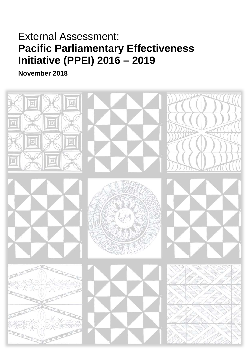# External Assessment: **Pacific Parliamentary Effectiveness Initiative (PPEI) 2016 – 2019**

**November 2018**

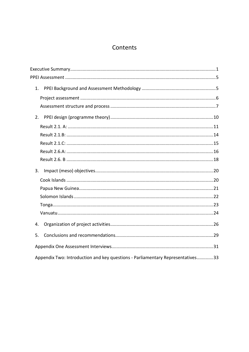# Contents

| 1.                                                                             |  |
|--------------------------------------------------------------------------------|--|
|                                                                                |  |
|                                                                                |  |
| 2.                                                                             |  |
|                                                                                |  |
|                                                                                |  |
|                                                                                |  |
|                                                                                |  |
|                                                                                |  |
| 3.                                                                             |  |
|                                                                                |  |
|                                                                                |  |
|                                                                                |  |
|                                                                                |  |
|                                                                                |  |
| 4.                                                                             |  |
| 5.                                                                             |  |
|                                                                                |  |
| Appendix Two: Introduction and key questions - Parliamentary Representatives33 |  |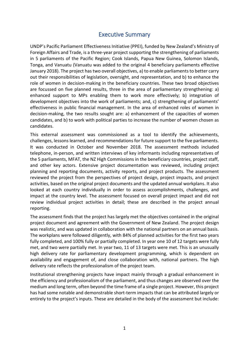# Executive Summary

<span id="page-2-0"></span>UNDP's Pacific Parliament Effectiveness Initiative (PPEI), funded by New Zealand's Ministry of Foreign Affairs and Trade, is a three-year project supporting the strengthening of parliaments in 5 parliaments of the Pacific Region; Cook Islands, Papua New Guinea, Solomon Islands, Tonga, and Vanuatu (Vanuatu was added to the original 4 beneficiary parliaments effective January 2018). The project has two overall objectives, a) to enable parliaments to better carry out their responsibilities of legislation, oversight, and representation, and b) to enhance the role of women in decision-making in the beneficiary countries. These two broad objectives are focussed on five planned results, three in the area of parliamentary strengthening: a) enhanced support to MPs enabling them to work more effectively; b) integration of development objectives into the work of parliaments; and, c) strengthening of parliaments' effectiveness in public financial management. In the area of enhanced roles of women in decision-making, the two results sought are: a) enhancement of the capacities of women candidates, and b) to work with political parties to increase the number of women chosen as candidates.

This external assessment was commissioned as a tool to identify the achievements, challenges, lessons learned, and recommendations for future support to the five parliaments. It was conducted in October and November 2018. The assessment methods included telephone, in-person, and written interviews of key informants including representatives of the 5 parliaments, MFAT, the NZ High Commissions in the beneficiary countries, project staff, and other key actors. Extensive project documentation was reviewed, including project planning and reporting documents, activity reports, and project products. The assessment reviewed the project from the perspectives of project design, project impacts, and project activities, based on the original project documents and the updated annual workplans. It also looked at each country individually in order to assess accomplishments, challenges, and impact at the country level. The assessment focused on overall project impact and did not review individual project activities in detail; these are described in the project annual reporting.

The assessment finds that the project has largely met the objectives contained in the original project document and agreement with the Government of New Zealand. The project design was realistic, and was updated in collaboration with the national partners on an annual basis. The workplans were followed diligently, with 84% of planned activities for the first two years fully completed, and 100% fully or partially completed. In year one 10 of 12 targets were fully met, and two were partially met. In year two, 11 of 13 targets were met. This is an unusually high delivery rate for parliamentary development programming, which is dependent on availability and engagement of, and close collaboration with, national partners. The high delivery rate reflects the professionalism of the project team.

Institutional strengthening projects have impact mainly through a gradual enhancement in the efficiency and professionalism of the parliament, and thus changes are observed over the medium and long term, often beyond the time frame of a single project. However, this project has had some notable and demonstrable short-term impacts that can be attributed largely or entirely to the project's inputs. These are detailed in the body of the assessment but include: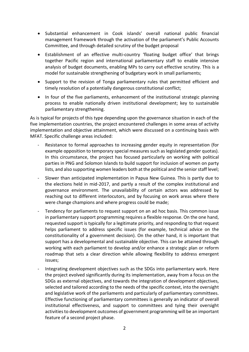- Substantial enhancement in Cook islands' overall national public financial management framework through the activation of the parliament's Public Accounts Committee, and through detailed scrutiny of the budget proposal
- Establishment of an effective multi-country 'floating budget office' that brings together Pacific region and international parliamentary staff to enable intensive analysis of budget documents, enabling MPs to carry out effective scrutiny. This is a model for sustainable strengthening of budgetary work in small parliaments;
- Support to the revision of Tonga parliamentary rules that permitted efficient and timely resolution of a potentially dangerous constitutional conflict;
- In four of the five parliaments, enhancement of the institutional strategic planning process to enable nationally driven institutional development; key to sustainable parliamentary strengthening.

As is typical for projects of this type depending upon the governance situation in each of the five implementation countries, the project encountered challenges in some areas of activity implementation and objective attainment, which were discussed on a continuing basis with MFAT. Specific challenge areas included:

- Resistance to formal approaches to increasing gender equity in representation (for example opposition to temporary special measures such as legislated gender quotas). In this circumstance, the project has focused particularly on working with political parties in PNG and Solomon Islands to build support for inclusion of women on party lists, and also supporting women leaders both at the political and the senior staff level;
- Slower than anticipated implementation in Papua New Guinea. This is partly due to the elections held in mid-2017, and partly a result of the complex institutional and governance environment. The unavailability of certain actors was addressed by reaching out to different interlocutors, and by focusing on work areas where there were change champions and where progress could be made;
- Tendency for parliaments to request support on an ad hoc basis. This common issue in parliamentary support programming requires a flexible response. On the one hand, requested support is typically for a legitimate priority, and responding to that request helps parliament to address specific issues (for example, technical advice on the constitutionality of a government decision). On the other hand, it is important that support has a developmental and sustainable objective. This can be attained through working with each parliament to develop and/or enhance a strategic plan or reform roadmap that sets a clear direction while allowing flexibility to address emergent issues;
- Integrating development objectives such as the SDGs into parliamentary work. Here the project evolved significantly during its implementation, away from a focus on the SDGs as external objectives, and towards the integration of development objectives, selected and tailored according to the needs of the specific context, into the oversight and legislative work of the parliaments and particularly of parliamentary committees. Effective functioning of parliamentary committees is generally an indicator of overall institutional effectiveness, and support to committees and tying their oversight activities to development outcomes of government programming will be an important feature of a second project phase.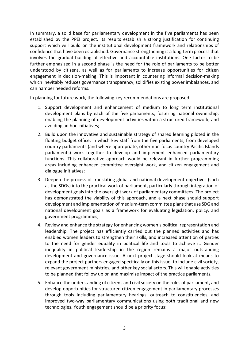In summary, a solid base for parliamentary development in the five parliaments has been established by the PPEI project. Its results establish a strong justification for continuing support which will build on the institutional development framework and relationships of confidence that have been established. Governance strengthening is a long-term process that involves the gradual building of effective and accountable institutions. One factor to be further emphasized in a second phase is the need for the role of parliaments to be better understood by citizens, as well as for parliaments to increase opportunities for citizen engagement in decision-making. This is important in countering informal decision-making which inevitably reduces governance transparency, solidifies existing power imbalances, and can hamper needed reforms.

In planning for future work, the following key recommendations are proposed:

- 1. Support development and enhancement of medium to long term institutional development plans by each of the five parliaments, fostering national ownership, enabling the planning of development activities within a structured framework, and avoiding ad hoc initiatives;
- 2. Build upon the innovative and sustainable strategy of shared learning piloted in the floating budget office, in which key staff from the five parliaments, from developed country parliaments (and where appropriate, other non-focus country Pacific Islands parliaments) work together to develop and implement enhanced parliamentary functions. This collaborative approach would be relevant in further programming areas including enhanced committee oversight work, and citizen engagement and dialogue initiatives;
- 3. Deepen the process of translating global and national development objectives (such as the SDGs) into the practical work of parliament, particularly through integration of development goals into the oversight work of parliamentary committees. The project has demonstrated the viability of this approach, and a next phase should support development and implementation of medium-term committee plansthat use SDG and national development goals as a framework for evaluating legislation, policy, and government programmes;
- 4. Review and enhance the strategy for enhancing women's political representation and leadership. The project has efficiently carried out the planned activities and has enabled women leaders to strengthen their skills, and increased attention of parties to the need for gender equality in political life and tools to achieve it. Gender inequality in political leadership in the region remains a major outstanding development and governance issue. A next project stage should look at means to expand the project partners engaged specifically on this issue, to include civil society, relevant government ministries, and other key social actors. This will enable activities to be planned that follow up on and maximize impact of the practice parliaments.
- 5. Enhance the understanding of citizens and civil society on the roles of parliament, and develop opportunities for structured citizen engagement in parliamentary processes through tools including parliamentary hearings, outreach to constituencies, and improved two-way parliamentary communications using both traditional and new technologies. Youth engagement should be a priority focus;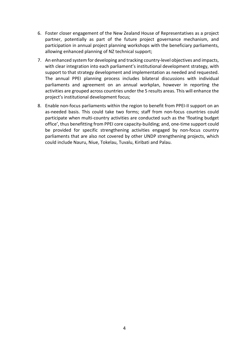- 6. Foster closer engagement of the New Zealand House of Representatives as a project partner, potentially as part of the future project governance mechanism, and participation in annual project planning workshops with the beneficiary parliaments, allowing enhanced planning of NZ technical support;
- 7. An enhanced system for developing and tracking country-level objectives and impacts, with clear integration into each parliament's institutional development strategy, with support to that strategy development and implementation as needed and requested. The annual PPEI planning process includes bilateral discussions with individual parliaments and agreement on an annual workplan, however in reporting the activities are grouped across countries under the 5 results areas. This will enhance the project's institutional development focus;
- 8. Enable non-focus parliaments within the region to benefit from PPEI-II support on an as-needed basis. This could take two forms; staff from non-focus countries could participate when multi-country activities are conducted such as the 'floating budget office', thus benefitting from PPEI core capacity-building; and, one-time support could be provided for specific strengthening activities engaged by non-focus country parliaments that are also not covered by other UNDP strengthening projects, which could include Nauru, Niue, Tokelau, Tuvalu, Kiribati and Palau.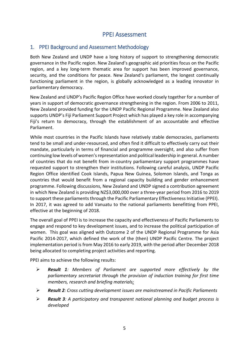# PPEI Assessment

# <span id="page-6-1"></span><span id="page-6-0"></span>1. PPEI Background and Assessment Methodology

Both New Zealand and UNDP have a long history of support to strengthening democratic governance in the Pacific region. New Zealand's geographic aid priorities focus on the Pacific region, and a key long-term thematic area for support has been improved governance, security, and the conditions for peace. New Zealand's parliament, the longest continually functioning parliament in the region, is globally acknowledged as a leading innovator in parliamentary democracy.

New Zealand and UNDP's Pacific Region Office have worked closely together for a number of years in support of democratic governance strengthening in the region. From 2006 to 2011, New Zealand provided funding for the UNDP Pacific Regional Programme. New Zealand also supports UNDP's Fiji Parliament Support Project which has played a key role in accompanying Fiji's return to democracy, through the establishment of an accountable and effective Parliament.

While most countries in the Pacific Islands have relatively stable democracies, parliaments tend to be small and under-resourced, and often find it difficult to effectively carry out their mandate, particularly in terms of financial and programme oversight, and also suffer from continuing low levels of women's representation and political leadership in general. A number of countries that do not benefit from in-country parliamentary support programmes have requested support to strengthen their institutions. Following careful analysis, UNDP Pacific Region Office identified Cook Islands, Papua New Guinea, Solomon Islands, and Tonga as countries that would benefit from a regional capacity building and gender enhancement programme. Following discussions, New Zealand and UNDP signed a contribution agreement in which New Zealand is providing NZ\$3,000,000 over a three-year period from 2016 to 2019 to support these parliaments through the Pacific Parliamentary Effectiveness Initiative (PPEI). In 2017, it was agreed to add Vanuatu to the national parliaments benefitting from PPEI, effective at the beginning of 2018.

The overall goal of PPEI is to increase the capacity and effectiveness of Pacific Parliaments to engage and respond to key development issues, and to increase the political participation of women. This goal was aligned with Outcome 2 of the UNDP Regional Programme for Asia Pacific 2014-2017, which defined the work of the (then) UNDP Pacific Centre. The project implementation period is from May 2016 to early 2019, with the period after December 2018 being allocated to completing project activities and reporting.

PPEI aims to achieve the following results:

- *Result 1: Members of Parliament are supported more effectively by the parliamentary secretariat through the provision of induction training for first time members, research and briefing materials;*
- *Result 2: Cross cutting development issues are mainstreamed in Pacific Parliaments*
- *Result 3: A participatory and transparent national planning and budget process is developed*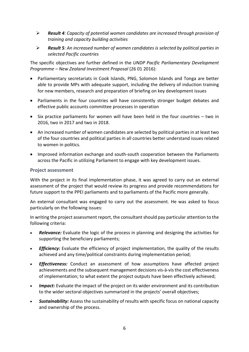- *Result 4: Capacity of potential women candidates are increased through provision of training and capacity building activities*
- *Result 5: An increased number of women candidates is selected by political parties in selected Pacific countries*

The specific objectives are further defined in the *UNDP Pacific Parliamentary Development Programme – New Zealand Investment Proposal* (26 01 2016):

- Parliamentary secretariats in Cook Islands, PNG, Solomon Islands and Tonga are better able to provide MPs with adequate support, including the delivery of induction training for new members, research and preparation of briefing on key development issues
- Parliaments in the four countries will have consistently stronger budget debates and effective public accounts committee processes in operation
- Six practice parliaments for women will have been held in the four countries two in 2016, two in 2017 and two in 2018.
- An increased number of women candidates are selected by political parties in at least two of the four countries and political parties in all countries better understand issues related to women in politics.
- Improved information exchange and south-south cooperation between the Parliaments across the Pacific in utilizing Parliament to engage with key development issues.

# <span id="page-7-0"></span>**Project assessment**

With the project in its final implementation phase, it was agreed to carry out an external assessment of the project that would review its progress and provide recommendations for future support to the PPEI parliaments and to parliaments of the Pacific more generally.

An external consultant was engaged to carry out the assessment. He was asked to focus particularly on the following issues:

In writing the project assessment report, the consultant should pay particular attention to the following criteria:

- *Relevance:* Evaluate the logic of the process in planning and designing the activities for supporting the beneficiary parliaments;
- *Efficiency:* Evaluate the efficiency of project implementation, the quality of the results achieved and any time/political constraints during implementation period;
- *Effectiveness:* Conduct an assessment of how assumptions have affected project achievements and the subsequent management decisions vis-à-vis the cost effectiveness of implementation; to what extent the project outputs have been effectively achieved;
- *Impact:* Evaluate the impact of the project on its wider environment and its contribution to the wider sectoral objectives summarized in the projects' overall objectives;
- *Sustainability:* Assess the sustainability of results with specific focus on national capacity and ownership of the process.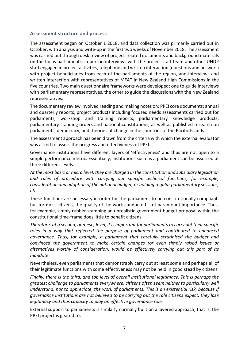#### <span id="page-8-0"></span>**Assessment structure and process**

The assessment began on October 1 2018, and data collection was primarily carried out in October, with analysis and write-up in the first two weeks of November 2018. The assessment was carried out through desk review of project-related documents and background materials on the focus parliaments, in person interviews with the project staff team and other UNDP staff engaged in project activities, telephone and written interaction (questions and answers) with project beneficiaries from each of the parliaments of the region, and interviews and written interaction with representatives of MFAT in New Zealand High Commissions in the five countries. Two main questionnaire frameworks were developed; one to guide interviews with parliamentary representatives, the other to guide the discussions with the New Zealand representatives.

The documentary review involved reading and making notes on: PPEI core documents; annual and quarterly reports; project products including focused needs assessments carried out for parliaments, workshop and training reports, parliamentary knowledge products, parliamentary standing orders and national constitutions, as well as published research on parliaments, democracy, and theories of change in the countries of the Pacific Islands.

The assessment approach has been drawn from the criteria with which the external evaluator was asked to assess the progress and effectiveness of PPEI.

Governance institutions have different layers of 'effectiveness' and thus are not open to a simple performance metric. Essentially, institutions such as a parliament can be assessed at three different levels.

*At the most basic or micro level, they are charged in the constitution and subsidiary legislation and rules of procedure with carrying out specific technical functions; for example, consideration and adoption of the national budget, or holding regular parliamentary sessions, etc.* 

These functions are necessary in order for the parliament to be constitutionally compliant, but for most citizens, the quality of the work conducted is of paramount importance. Thus, for example, simply rubber-stamping an unrealistic government budget proposal within the constitutional time-frame does little to benefit citizens.

*Therefore, at a second, or meso, level, it is important for parliaments to carry out their specific roles in a way that reflected the purpose of parliament and contributed to enhanced governance. Thus, for example, a parliament that carefully scrutinised the budget and convinced the government to make certain changes (or even simply raised issues or alternatives worthy of consideration) would be effectively carrying out this part of its mandate.* 

Nevertheless, even parliaments that demonstrably carry out at least some and perhaps all of their legitimate functions with some effectiveness may not be held in good stead by citizens.

*Finally, there is the third, and top level of overall institutional legitimacy. This is perhaps the greatest challenge to parliaments everywhere; citizens often seem neither to particularly well understand, nor to appreciate, the work of parliaments. This is an existential risk, because if governance institutions are not believed to be carrying out the role citizens expect, they lose legitimacy and thus capacity to play an effective governance role.*

External support to parliaments is similarly normally built on a layered approach; that is, the PPEI project is geared to: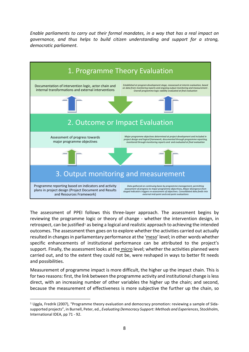*Enable parliaments to carry out their formal mandates, in a way that has a real impact on governance, and thus helps to build citizen understanding and support for a strong, democratic parliament*.



The assessment of PPEI follows this three-layer approach. The assessment begins by reviewing the programme logic or theory of change - whether the intervention design, in retrospect, can be justified<sup>[1](#page-9-0)</sup> as being a logical and realistic approach to achieving the intended outcomes. The assessment then goes on to explore whether the activities carried out actually resulted in changes in parliamentary performance at the 'meso' level; in other words whether specific enhancements of institutional performance can be attributed to the project's support. Finally, the assessment looks at the micro level; whether the activities planned were carried out, and to the extent they could not be, were reshaped in ways to better fit needs and possibilities.

Measurement of programme impact is more difficult, the higher up the impact chain. This is for two reasons: first, the link between the programme activity and institutional change is less direct, with an increasing number of other variables the higher up the chain; and second, because the measurement of effectiveness is more subjective the further up the chain, so

1

<span id="page-9-0"></span><sup>1</sup> Uggla, Fredrik (2007), "Programme theory evaluation and democracy promotion: reviewing a sample of Sidasupported projects", in Burnell, Peter, ed., *Evaluating Democracy Support: Methods and Experiences*, Stockholm, International IDEA, pp 71 - 92.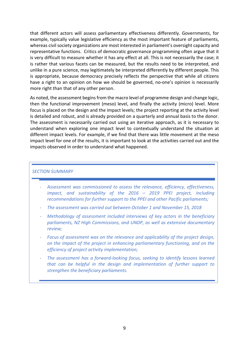that different actors will assess parliamentary effectiveness differently. Governments, for example, typically value legislative efficiency as the most important feature of parliaments, whereas civil society organizations are most interested in parliament's oversight capacity and representative functions. Critics of democratic governance programming often argue that it is very difficult to measure whether it has any effect at all. This is not necessarily the case; it is rather that various facets can be measured, but the results need to be interpreted, and unlike in a pure science, may legitimately be interpreted differently by different people. This is appropriate, because democracy precisely reflects the perspective that while all citizens have a right to an opinion on how we should be governed, no-one's opinion is necessarily more right than that of any other person.

As noted, the assessment begins from the macro level of programme design and change logic, then the functional improvement (meso) level, and finally the activity (micro) level. More focus is placed on the design and the impact levels; the project reporting at the activity level is detailed and robust, and is already provided on a quarterly and annual basis to the donor. The assessment is necessarily carried out using an iterative approach, as it is necessary to understand when exploring one impact level to contextually understand the situation at different impact levels. For example, if we find that there was little movement at the meso impact level for one of the results, it is important to look at the activities carried out and the impacts observed in order to understand what happened.

#### *SECTION SUMMARY*

- *Assessment was commissioned to assess the relevance, efficiency, effectiveness, impact, and sustainability of the 2016 – 2019 PPEI project, including recommendations for further support to the PPEI and other Pacific parliaments;*
- *The assessment was carried out between October 1 and November 15, 2018*
- *Methodology of assessment included interviews of key actors in the beneficiary parliaments, NZ High Commissions, and UNDP, as well as extensive documentary review;*
- *Focus of assessment was on the relevance and applicability of the project design, on the impact of the project in enhancing parliamentary functioning, and on the efficiency of project activity implementation;*
- The assessment has a forward-looking focus, seeking to identify lessons learned *that can be helpful in the design and implementation of further support to strengthen the beneficiary parliaments.*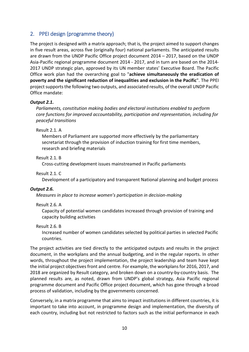# <span id="page-11-0"></span>2. PPEI design (programme theory)

The project is designed with a matrix approach; that is, the project aimed to support changes in five result areas, across five (originally four) national parliaments. The anticipated results are drawn from the UNDP Pacific Office project document 2014 – 2017, based on the UNDP Asia-Pacific regional programme document 2014 - 2017, and in turn are based on the 2014- 2017 UNDP strategic plan, approved by its UN member states' Executive Board. The Pacific Office work plan had the overarching goal to "**achieve simultaneously the eradication of poverty and the significant reduction of inequalities and exclusion in the Pacific**". The PPEI project supports the following two outputs, and associated results, of the overall UNDP Pacific Office mandate:

# *Output 2.1.*

*Parliaments, constitution making bodies and electoral institutions enabled to perform core functions for improved accountability, participation and representation, including for peaceful transitions*

Result 2.1. A

Members of Parliament are supported more effectively by the parliamentary secretariat through the provision of induction training for first time members, research and briefing materials

Result 2.1. B

Cross-cutting development issues mainstreamed in Pacific parliaments

Result 2.1. C

Development of a participatory and transparent National planning and budget process

# *Output 2.6.*

*Measures in place to increase women's participation in decision-making*

# Result 2.6. A

Capacity of potential women candidates increased through provision of training and capacity building activities

Result 2.6. B

Increased number of women candidates selected by political parties in selected Pacific countries.

The project activities are tied directly to the anticipated outputs and results in the project document, in the workplans and the annual budgeting, and in the regular reports. In other words, throughout the project implementation, the project leadership and team have kept the initial project objectives front and centre. For example, the workplans for 2016, 2017, and 2018 are organized by Result category, and broken down on a country-by-country basis. The planned results are, as noted, drawn from UNDP's global strategy, Asia Pacific regional programme document and Pacific Office project document, which has gone through a broad process of validation, including by the governments concerned.

Conversely, in a matrix programme that aims to impact institutions in different countries, it is important to take into account, in programme design and implementation, the diversity of each country, including but not restricted to factors such as the initial performance in each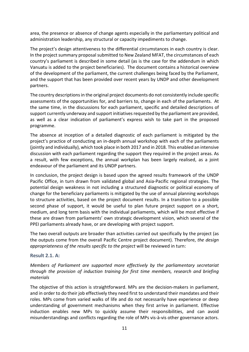area, the presence or absence of change agents especially in the parliamentary political and administration leadership, any structural or capacity impediments to change.

The project's design attentiveness to the differential circumstances in each country is clear. In the project summary proposal submitted to New Zealand MFAT, the circumstances of each country's parliament is described in some detail (as is the case for the addendum in which Vanuatu is added to the project beneficiaries). The document contains a historical overview of the development of the parliament, the current challenges being faced by the Parliament, and the support that has been provided over recent years by UNDP and other development partners.

The country descriptions in the original project documents do not consistently include specific assessments of the opportunities for, and barriers to, change in each of the parliaments. At the same time, in the discussions for each parliament, specific and detailed descriptions of support currently underway and support initiatives requested by the parliament are provided, as well as a clear indication of parliament's express wish to take part in the proposed programme.

The absence at inception of a detailed diagnostic of each parliament is mitigated by the project's practice of conducting an in-depth annual workshop with each of the parliaments (jointly and individually), which took place in both 2017 and in 2018. This enabled an intensive discussion with each parliament regarding the support they required in the project areas. As a result, with few exceptions, the annual workplan has been largely realised, as a joint endeavour of the parliament and its UNDP partners.

In conclusion, the project design is based upon the agreed results framework of the UNDP Pacific Office, in turn drawn from validated global and Asia-Pacific regional strategies. The potential design weakness in not including a structured diagnostic or political economy of change for the beneficiary parliaments is mitigated by the use of annual planning workshops to structure activities, based on the project document results. In a transition to a possible second phase of support, it would be useful to plan future project support on a short, medium, and long term basis with the individual parliaments, which will be most effective if these are drawn from parliaments' own strategic development vision, which several of the PPEI parliaments already have, or are developing with project support.

The two overall outputs are broader than activities carried out specifically by the project (as the outputs come from the overall Pacific Centre project document). Therefore, *the design appropriateness of the results specific to the project* will be reviewed in turn:

# <span id="page-12-0"></span>**Result 2.1. A:**

*Members of Parliament are supported more effectively by the parliamentary secretariat through the provision of induction training for first time members, research and briefing materials*

The objective of this action is straightforward. MPs are the decision-makers in parliament, and in order to do their job effectively they need first to understand their mandates and their roles. MPs come from varied walks of life and do not necessarily have experience or deep understanding of government mechanisms when they first arrive in parliament. Effective induction enables new MPs to quickly assume their responsibilities, and can avoid misunderstandings and conflicts regarding the role of MPs vis-à-vis other governance actors.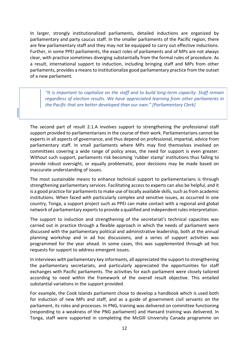In larger, strongly institutionalized parliaments, detailed inductions are organized by parliamentary and party caucus staff. In the smaller parliaments of the Pacific region, there are few parliamentary staff and they may not be equipped to carry out effective inductions. Further, in some PPEI parliaments, the exact roles of parliaments and of MPs are not always clear, with practice sometimes diverging substantially from the formal rules of procedure. As a result, international support to induction, including bringing staff and MPs from other parliaments, provides a means to institutionalize good parliamentary practice from the outset of a new parliament.

*"It is important to capitalize on the staff and to build long-term capacity. Staff remain regardless of election results. We have appreciated learning from other parliaments in the Pacific that are better developed than our own." [Parliamentary Clerk]*

The second part of result 2.1.A involves support to strengthening the professional staff support provided to parliamentarians in the course of their work. Parliamentarians cannot be experts in all aspects of governance, and thus depend on professional, impartial, advice from parliamentary staff. In small parliaments where MPs may find themselves involved on committees covering a wide range of policy areas, the need for support is even greater. Without such support, parliaments risk becoming 'rubber stamp' institutions thus failing to provide robust oversight, or equally problematic, poor decisions may be made based on inaccurate understanding of issues.

The most sustainable means to enhance technical support to parliamentarians is through strengthening parliamentary services. Facilitating access to experts can also be helpful, and it is a good practice for parliaments to make use of locally available skills, such as from academic institutions. When faced with particularly complex and sensitive issues, as occurred in one country, Tonga, a support project such as PPEI can make contact with a regional and global network of parliamentary experts to provide a qualified and independent rules interpretation.

The support to induction and strengthening of the secretariat's technical capacities was carried out in practice through a flexible approach in which the needs of parliament were discussed with the parliamentary political and administrative leadership, both at the annual planning workshop and in ad hoc discussions, and a series of support activities was programmed for the year ahead. In some cases, this was supplemented through ad hoc requests for support to address emergent issues.

In interviews with parliamentary key informants, all appreciated the support to strengthening the parliamentary secretariats, and particularly appreciated the opportunities for staff exchanges with Pacific parliaments. The activities for each parliament were closely tailored according to need within the framework of the overall result objective. This entailed substantial variations in the support provided.

For example, the Cook Islands parliament chose to develop a handbook which is used both for induction of new MPs and staff, and as a guide of government civil servants on the parliament, its roles and processes. In PNG, training was delivered on committee functioning (responding to a weakness of the PNG parliament) and Hansard training was delivered. In Tonga, staff were supported in completing the McGill University Canada programme on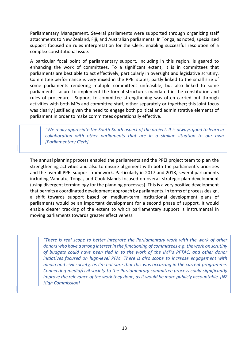Parliamentary Management. Several parliaments were supported through organizing staff attachments to New Zealand, Fiji, and Australian parliaments. In Tonga, as noted, specialized support focused on rules interpretation for the Clerk, enabling successful resolution of a complex constitutional issue.

A particular focal point of parliamentary support, including in this region, is geared to enhancing the work of committees. To a significant extent, it is in committees that parliaments are best able to act effectively, particularly in oversight and legislative scrutiny. Committee performance is very mixed in the PPEI states, partly linked to the small size of some parliaments rendering multiple committees unfeasible, but also linked to some parliaments' failure to implement the formal structures mandated in the constitution and rules of procedure. Support to committee strengthening was often carried out through activities with both MPs and committee staff, either separately or together; this joint focus was clearly justified given the need to engage both political and administrative elements of parliament in order to make committees operationally effective.

*"We really appreciate the South-South aspect of the project. It is always good to learn in collaboration with other parliaments that are in a similar situation to our own [Parliamentary Clerk]*

The annual planning process enabled the parliaments and the PPEI project team to plan the strengthening activities and also to ensure alignment with both the parliament's priorities and the overall PPEI support framework. Particularly in 2017 and 2018, several parliaments including Vanuatu, Tonga, and Cook Islands focused on overall strategic plan development (using divergent terminology for the planning processes). This is a very positive development that permits a coordinated development approach by parliaments. In terms of process design, a shift towards support based on medium-term institutional development plans of parliaments would be an important development for a second phase of support. It would enable clearer tracking of the extent to which parliamentary support is instrumental in moving parliaments towards greater effectiveness.

<span id="page-14-0"></span>*"There is real scope to better integrate the Parliamentary work with the work of other donors who have a strong interest in the functioning of committees e.g. the work on scrutiny of budgets could have been tied in to the work of the IMF's PFTAC, and other donor initiatives focused on high-level PFM. There is also scope to increase engagement with media and civil society, as I'm not sure that this was occurring in the current programme. Connecting media/civil society to the Parliamentary committee process could significantly improve the relevance of the work they done, as it would be more publicly accountable. [NZ High Commission]*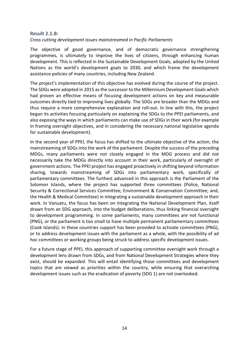# **Result 2.1.B:**  *Cross cutting development issues mainstreamed in Pacific Parliaments*

The objective of good governance, and of democratic governance strengthening programmes, is ultimately to improve the lives of citizens, through enhancing human development. This is reflected in the Sustainable Development Goals, adopted by the United Nations as the world's development goals to 2030, and which frame the development assistance policies of many countries, including New Zealand.

The project's implementation of this objective has evolved during the course of the project. The SDGs were adopted in 2015 as the successor to the Millennium Development Goals which had proven an effective means of focusing development actions on key and measurable outcomes directly tied to improving lives globally. The SDGs are broader than the MDGs and thus require a more comprehensive explanation and roll-out. In line with this, the project began its activities focusing particularly on explaining the SDGs to the PPEI parliaments, and also exposing the ways in which parliaments can make use of SDGs in their work (for example in framing oversight objectives, and in considering the necessary national legislative agenda for sustainable development).

In the second year of PPEI, the focus has shifted to the ultimate objective of the action; the mainstreaming of SDGs into the work of the parliament. Despite the success of the preceding MDGs, many parliaments were not closely engaged in the MDG process and did not necessarily take the MDGs directly into account in their work, particularly of oversight of government actions. The PPEI project has engaged proactively in shifting beyond information sharing, towards mainstreaming of SDGs into parliamentary work, specifically of parliamentary committees. The furthest advanced in this approach is the Parliament of the Solomon Islands, where the project has supported three committees (Police, National Security & Correctional Services Committee; Environment & Conservation Committee; and, the Health & Medical Committee) in integrating a sustainable development approach in their work. In Vanuatu, the focus has been on integrating the National Development Plan, itself drawn from an SDG approach, into the budget deliberations, thus linking financial oversight to development programming. In some parliaments, many committees are not functional (PNG), or the parliament is too small to have multiple permanent parliamentary committees (Cook Islands). In these countries support has been provided to activate committees (PNG), or to address development issues with the parliament as a whole, with the possibility of ad hoc committees or working groups being struck to address specific development issues.

<span id="page-15-0"></span>For a future stage of PPEI, this approach of supporting committee oversight work through a development lens drawn from SDGs, and from National Development Strategies where they exist, should be expanded. This will entail identifying those committees and development topics that are viewed as priorities within the country, while ensuring that overarching development issues such as the eradication of poverty (SDG 1) are not overlooked.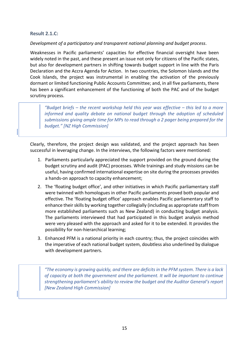## **Result 2.1.C:**

#### *Development of a participatory and transparent national planning and budget process*.

Weaknesses in Pacific parliaments' capacities for effective financial oversight have been widely noted in the past, and these present an issue not only for citizens of the Pacific states, but also for development partners in shifting towards budget support in line with the Paris Declaration and the Accra Agenda for Action. In two countries, the Solomon Islands and the Cook Islands, the project was instrumental in enabling the activation of the previously dormant or limited functioning Public Accounts Committee; and, in all five parliaments, there has been a significant enhancement of the functioning of both the PAC and of the budget scrutiny process.

*"Budget briefs – the recent workshop held this year was effective – this led to a more informed and quality debate on national budget through the adoption of scheduled submissions giving ample time for MPs to read through a 2 pager being prepared for the budget." [NZ High Commission]*

Clearly, therefore, the project design was validated, and the project approach has been successful in leveraging change. In the interviews, the following factors were mentioned:

- 1. Parliaments particularly appreciated the support provided on the ground during the budget scrutiny and audit (PAC) processes. While trainings and study missions can be useful, having confirmed international expertise on site during the processes provides a hands-on approach to capacity enhancement;
- 2. The 'floating budget office', and other initiatives in which Pacific parliamentary staff were twinned with homologues in other Pacific parliaments proved both popular and effective. The 'floating budget office' approach enables Pacific parliamentary staff to enhance their skills by working together collegially (including as appropriate staff from more established parliaments such as New Zealand) in conducting budget analysis. The parliaments interviewed that had participated in this budget analysis method were very pleased with the approach and asked for it to be extended. It provides the possibility for non-hierarchical learning;
- 3. Enhanced PFM is a national priority in each country; thus, the project coincides with the imperative of each national budget system, doubtless also underlined by dialogue with development partners.

*"The economy is growing quickly, and there are deficits in the PFM system. There is a lack of capacity at both the government and the parliament. It will be important to continue strengthening parliament's ability to review the budget and the Auditor General's report [New Zealand High Commission]*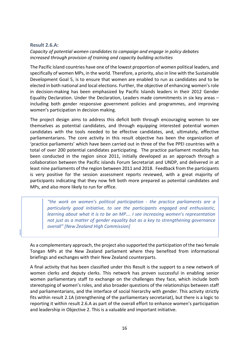## <span id="page-17-0"></span>**Result 2.6.A:**

*Capacity of potential women candidates to campaign and engage in policy debates increased through provision of training and capacity building activities*

The Pacific Island countries have one of the lowest proportion of women political leaders, and specifically of women MPs, in the world. Therefore, a priority, also in line with the Sustainable Development Goal 5, is to ensure that women are enabled to run as candidates and to be elected in both national and local elections. Further, the objective of enhancing women's role in decision-making has been emphasized by Pacific Islands leaders in their 2012 Gender Equality Declaration. Under the Declaration, Leaders made commitments in six key areas – including both gender responsive government policies and programmes, and improving women's participation in decision making.

The project design aims to address this deficit both through encouraging women to see themselves as potential candidates, and through equipping interested potential women candidates with the tools needed to be effective candidates, and, ultimately, effective parliamentarians. The core activity in this result objective has been the organization of 'practice parliaments' which have been carried out in three of the five PPEI countries with a total of over 200 potential candidates participating. The practice parliament modality has been conducted in the region since 2011, initially developed as an approach through a collaboration between the Pacific islands Forum Secretariat and UNDP, and delivered in at least nine parliaments of the region between 2011 and 2018. Feedback from the participants is very positive for the session assessment reports reviewed, with a great majority of participants indicating that they now felt both more prepared as potential candidates and MPs, and also more likely to run for office.

*"the work on women's political participation - the practice parliaments are a particularly good initiative, to see the participants engaged and enthusiastic, learning about what it is to be an MP…. I see increasing women's representation not just as a matter of gender equality but as a key to strengthening governance overall" [New Zealand High Commission]*

As a complementary approach, the project also supported the participation of the two female Tongan MPs at the New Zealand parliament where they benefited from informational briefings and exchanges with their New Zealand counterparts.

A final activity that has been classified under this Result is the support to a new network of women clerks and deputy clerks. This network has proven successful in enabling senior women parliamentary staff to exchange on the challenges they face, which include both stereotyping of women's roles, and also broader questions of the relationships between staff and parliamentarians, and the interface of social hierarchy with gender. This activity strictly fits within result 2.1A (strengthening of the parliamentary secretariat), but there is a logic to reporting it within result 2.6.A as part of the overall effort to enhance women's participation and leadership in Objective 2. This is a valuable and important initiative.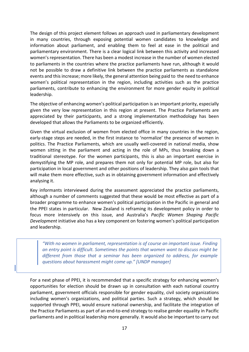The design of this project element follows an approach used in parliamentary development in many countries, through exposing potential women candidates to knowledge and information about parliament, and enabling them to feel at ease in the political and parliamentary environment. There is a clear logical link between this activity and increased women's representation. There has been a modest increase in the number of women elected to parliaments in the countries where the practice parliaments have run, although it would not be possible to draw a definitive link between the practice parliaments as standalone events and this increase; more likely, the general attention being paid to the need to enhance women's political representation in the region, including activities such as the practice parliaments, contribute to enhancing the environment for more gender equity in political leadership.

The objective of enhancing women's political participation is an important priority, especially given the very low representation in this region at present. The Practice Parliaments are appreciated by their participants, and a strong implementation methodology has been developed that allows the Parliaments to be organized efficiently.

Given the virtual exclusion of women from elected office in many countries in the region, early-stage steps are needed, in the first instance to 'normalize' the presence of women in politics. The Practice Parliaments, which are usually well-covered in national media, show women sitting in the parliament and acting in the role of MPs, thus breaking down a traditional stereotype. For the women participants, this is also an important exercise in demystifying the MP role, and prepares them not only for potential MP role, but also for participation in local government and other positions of leadership. They also gain tools that will make them more effective, such as in obtaining government information and effectively analysing it.

Key informants interviewed during the assessment appreciated the practice parliaments, although a number of comments suggested that these would be most effective as part of a broader programme to enhance women's political participation in the Pacific in general and the PPEI states in particular. New Zealand is reframing its development policy in order to focus more intensively on this issue, and Australia's *Pacific Women Shaping Pacific Development* initiative also has a key component on fostering women's political participation and leadership.

*"With no women in parliament, representation is of course an important issue. Finding an entry point is difficult. Sometimes the points that women want to discuss might be different from those that a seminar has been organized to address, for example questions about harassment might come up." [UNDP manager]*

For a next phase of PPEI, it is recommended that a specific strategy for enhancing women's opportunities for election should be drawn up in consultation with each national country parliament, government officials responsible for gender equality, civil society organizations including women's organizations, and political parties. Such a strategy, which should be supported through PPEI, would ensure national ownership, and facilitate the integration of the Practice Parliaments as part of an end-to-end strategy to realise gender equality in Pacific parliaments and in political leadership more generally. It would also be important to carry out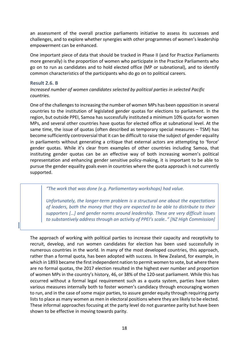an assessment of the overall practice parliaments initiative to assess its successes and challenges, and to explore whether synergies with other programmes of women's leadership empowerment can be enhanced.

One important piece of data that should be tracked in Phase II (and for Practice Parliaments more generally) is the proportion of women who participate in the Practice Parliaments who go on to run as candidates and to hold elected office (MP or subnational), and to identify common characteristics of the participants who do go on to political careers.

#### <span id="page-19-0"></span>**Result 2.6. B**

### *Increased number of women candidates selected by political parties in selected Pacific countries.*

One of the challenges to increasing the number of women MPs has been opposition in several countries to the institution of legislated gender quotas for elections to parliament. In the region, but outside PPEI, Samoa has successfully instituted a minimum 10% quota for women MPs, and several other countries have quotas for elected office at subnational level. At the same time, the issue of quotas (often described as temporary special measures – TSM) has become sufficiently controversial that it can be difficult to raise the subject of gender equality in parliaments without generating a critique that external actors are attempting to 'force' gender quotas. While it's clear from examples of other countries including Samoa, that instituting gender quotas can be an effective way of both increasing women's political representation and enhancing gender sensitive policy-making, it is important to be able to pursue the gender equality goals even in countries where the quota approach is not currently supported.

*"The work that was done (e.g. Parliamentary workshops) had value.* 

*Unfortunately, the longer-term problem is a structural one about the expectations of leaders, both the money that they are expected to be able to distribute to their supporters […] and gender norms around leadership. These are very difficult issues to substantively address through an activity of PPEI's scale.." [NZ High Commission]*

The approach of working with political parties to increase their capacity and receptivity to recruit, develop, and run women candidates for election has been used successfully in numerous countries in the world. In many of the most developed countries, this approach, rather than a formal quota, has been adopted with success. In New Zealand, for example, in which in 1893 became the first independent nation to permit women to vote, but where there are no formal quotas, the 2017 election resulted in the highest ever number and proportion of women MPs in the country's history, 46, or 38% of the 120-seat parliament. While this has occurred without a formal legal requirement such as a quota system, parties have taken various measures internally both to foster women's candidacy through encouraging women to run, and in the case of some major parties, to assure gender equity through requiring party lists to place as many women as men in electoral positions where they are likely to be elected. These informal approaches focusing at the party level do not guarantee parity but have been shown to be effective in moving towards parity.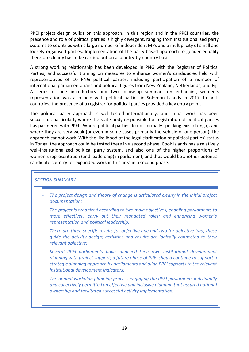PPEI project design builds on this approach. In this region and in the PPEI countries, the presence and role of political parties is highly divergent, ranging from institutionalised party systems to countries with a large number of independent MPs and a multiplicity of small and loosely organised parties. Implementation of the party-based approach to gender equality therefore clearly has to be carried out on a country-by-country basis.

A strong working relationship has been developed in PNG with the Registrar of Political Parties, and successful training on measures to enhance women's candidacies held with representatives of 10 PNG political parties, including participation of a number of international parliamentarians and political figures from New Zealand, Netherlands, and Fiji. A series of one introductory and two follow-up seminars on enhancing women's representation was also held with political parties in Solomon Islands in 2017. In both countries, the presence of a registrar for political parties provided a key entry point.

The political party approach is well-tested internationally, and initial work has been successful, particularly where the state body responsible for registration of political parties has partnered with PPEI. Where political parties do not formally speaking exist (Tonga), and where they are very weak (or even in some cases primarily the vehicle of one person), the approach cannot work. With the likelihood of the legal clarification of political parties' status in Tonga, the approach could be tested there in a second phase. Cook Islands has a relatively well-institutionalized political party system, and also one of the higher proportions of women's representation (and leadership) in parliament, and thus would be another potential candidate country for expanded work in this area in a second phase.

#### *SECTION SUMMARY*

- *The project design and theory of change is articulated clearly in the initial project documentation;*
- *The project is organized according to two main objectives; enabling parliaments to more effectively carry out their mandated roles; and enhancing women's representation and political leadership;*
- There are three specific results for objective one and two for objective two; these *guide the activity design; activities and results are logically connected to their relevant objective;*
- *Several PPEI parliaments have launched their own institutional development planning with project support; a future phase of PPEI should continue to support a strategic planning approach by parliaments and align PPEI supports to the relevant institutional development indicators;*
- *The annual workplan planning process engaging the PPEI parliaments individually and collectively permitted an effective and inclusive planning that assured national ownership and facilitated successful activity implementation.*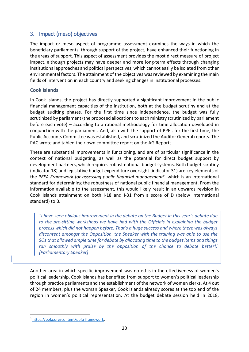# <span id="page-21-0"></span>3. Impact (meso) objectives

The impact or meso aspect of programme assessment examines the ways in which the beneficiary parliaments, through support of the project, have enhanced their functioning in the areas of support. This aspect of assessment provides the most direct measure of project impact, although projects may have deeper and more long-term effects through changing institutional approaches and political perspectives, which cannot easily be isolated from other environmental factors. The attainment of the objectives was reviewed by examining the main fields of intervention in each country and seeking changes in institutional processes.

# <span id="page-21-1"></span>**Cook Islands**

In Cook Islands, the project has directly supported a significant improvement in the public financial management capacities of the institution, both at the budget scrutiny and at the budget auditing phases. For the first time since independence, the budget was fully scrutinized by parliament (the proposed allocations to each ministry scrutinized by parliament before each vote) – according to a rational methodology for time allocation developed in conjunction with the parliament. And, also with the support of PPEI, for the first time, the Public Accounts Committee was established, and scrutinized the Auditor General reports. The PAC wrote and tabled their own committee report on the AG Reports.

These are substantial improvements in functioning, and are of particular significance in the context of national budgeting, as well as the potential for direct budget support by development partners, which requires robust national budget systems. Both budget scrutiny (indicator 18) and legislative budget expenditure oversight (indicator 31) are key elements of the *PEFA Framework for assessing public financial management[2](#page-21-2)* which is an international standard for determining the robustness of national public financial management. From the information available to the assessment, this would likely result in an upwards revision in Cook Islands attainment on both I-18 and I-31 from a score of D (below international standard) to B.

*"I have seen obvious improvement in the debate on the Budget in this year's debate due to the pre-sitting workshops we have had with the Officials in explaining the budget process which did not happen before. That's a huge success and where there was always discontent amongst the Opposition, the Speaker with the training was able to use the SOs that allowed ample time for debate by allocating time to the budget items and things ran smoothly with praise by the opposition of the chance to debate better!! [Parliamentary Speaker]*

Another area in which specific improvement was noted is in the effectiveness of women's political leadership. Cook Islands has benefited from support to women's political leadership through practice parliaments and the establishment of the network of women clerks. At 4 out of 24 members, plus the woman Speaker, Cook Islands already scores at the top end of the region in women's political representation. At the budget debate session held in 2018,

<span id="page-21-2"></span><sup>-</sup><sup>2</sup> [https://pefa.org/content/pefa-framework.](https://pefa.org/content/pefa-framework)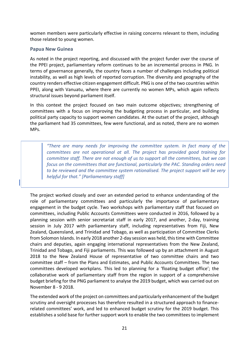women members were particularly effective in raising concerns relevant to them, including those related to young women.

# <span id="page-22-0"></span>**Papua New Guinea**

As noted in the project reporting, and discussed with the project funder over the course of the PPEI project, parliamentary reform continues to be an incremental process in PNG. In terms of governance generally, the country faces a number of challenges including political instability, as well as high levels of reported corruption. The diversity and geography of the country renders effective citizen engagement difficult. PNG is one of the two countries within PPEI, along with Vanuatu, where there are currently no women MPs, which again reflects structural issues beyond parliament itself.

In this context the project focused on two main outcome objectives; strengthening of committees with a focus on improving the budgeting process in particular, and building political party capacity to support women candidates. At the outset of the project, although the parliament had 35 committees, few were functional, and as noted, there are no women MPs.

*"There are many needs for improving the committee system. In fact many of the committees are not operational at all. The project has provided good training for committee staff. There are not enough of us to support all the committees, but we can focus on the committees that are functional, particularly the PAC. Standing orders need to be reviewed and the committee system rationalised. The project support will be very helpful for that." [Parliamentary staff]*

The project worked closely and over an extended period to enhance understanding of the role of parliamentary committees and particularly the importance of parliamentary engagement in the budget cycle. Two workshops with parliamentary staff that focused on committees, including Public Accounts Committees were conducted in 2016, followed by a planning session with senior secretariat staff in early 2017, and another, 2-day, training session in July 2017 with parliamentary staff, including representatives from Fiji, New Zealand, Queensland, and Trinidad and Tobago, as well as participation of Committee Clerks from Solomon Islands. In early 2018 another 2-day session was held, this time with Committee chairs and deputies, again engaging international representatives from the New Zealand, Trinidad and Tobago, and Fiji parliaments. This was followed up by an attachment in August 2018 to the New Zealand House of representative of two committee chairs and two committee staff – from the Plans and Estimates, and Public Accounts Committees. The two committees developed workplans. This led to planning for a 'floating budget office'; the collaborative work of parliamentary staff from the region in support of a comprehensive budget briefing for the PNG parliament to analyse the 2019 budget, which was carried out on November 8 - 9 2018.

The extended work of the project on committees and particularly enhancement of the budget scrutiny and oversight processes has therefore resulted in a structured approach to financerelated committees' work, and led to enhanced budget scrutiny for the 2019 budget. This establishes a solid base for further support work to enable the two committees to implement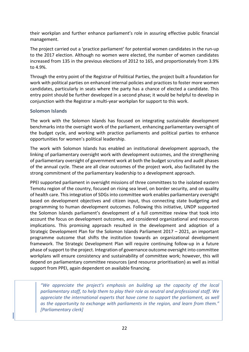their workplan and further enhance parliament's role in assuring effective public financial management.

The project carried out a 'practice parliament' for potential women candidates in the run-up to the 2017 election. Although no women were elected, the number of women candidates increased from 135 in the previous elections of 2012 to 165, and proportionately from 3.9% to 4.9%.

Through the entry point of the Registrar of Political Parties, the project built a foundation for work with political parties on enhanced internal policies and practices to foster more women candidates, particularly in seats where the party has a chance of elected a candidate. This entry point should be further developed in a second phase; it would be helpful to develop in conjunction with the Registrar a multi-year workplan for support to this work.

# <span id="page-23-0"></span>**Solomon Islands**

The work with the Solomon Islands has focused on integrating sustainable development benchmarks into the oversight work of the parliament, enhancing parliamentary oversight of the budget cycle, and working with practice parliaments and political parties to enhance opportunities for women's political leadership.

The work with Solomon Islands has enabled an institutional development approach, the linking of parliamentary oversight work with development outcomes, and the strengthening of parliamentary oversight of government work at both the budget scrutiny and audit phases of the annual cycle. These are all clear outcomes of the project work, also facilitated by the strong commitment of the parliamentary leadership to a development approach.

PPEI supported parliament in oversight missions of three committees to the isolated eastern Temotu region of the country, focused on rising sea level, on border security, and on quality of health care. This integration of SDGs into committee work enables parliamentary oversight based on development objectives and citizen input, thus connecting state budgeting and programming to human development outcomes. Following this initiative, UNDP supported the Solomon Islands parliament's development of a full committee review that took into account the focus on development outcomes, and considered organizational and resources implications. This promising approach resulted in the development and adoption of a Strategic Development Plan for the Solomon Islands Parliament 2017 – 2021, an important programme outcome that shifts the institution towards an organizational development framework. The Strategic Development Plan will require continuing follow-up in a future phase of support to the project. Integration of governance outcome oversight into committee workplans will ensure consistency and sustainability of committee work; however, this will depend on parliamentary committee resources (and resource prioritisation) as well as initial support from PPEI, again dependent on available financing.

*"We appreciate the project's emphasis on building up the capacity of the local parliamentary staff, to help them to play their role as neutral and professional staff. We appreciate the international experts that have come to support the parliament, as well as the opportunity to exchange with parliaments in the region, and learn from them." [Parliamentary clerk]*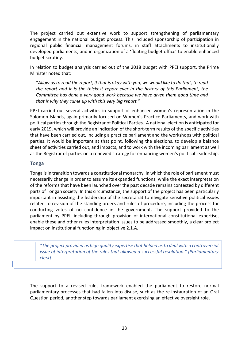The project carried out extensive work to support strengthening of parliamentary engagement in the national budget process. This included sponsorship of participation in regional public financial management forums, in staff attachments to institutionally developed parliaments, and in organization of a 'floating budget office' to enable enhanced budget scrutiny.

In relation to budget analysis carried out of the 2018 budget with PPEI support, the Prime Minister noted that:

"*Allow us to read the report, if that is okay with you, we would like to do that, to read the report and it is the thickest report ever in the history of this Parliament, the Committee has done a very good work because we have given them good time and that is why they came up with this very big report."*

PPEI carried out several activities in support of enhanced women's representation in the Solomon Islands, again primarily focused on Women's Practice Parliaments, and work with political parties through the Registrar of Political Parties. A national election is anticipated for early 2019, which will provide an indication of the short-term results of the specific activities that have been carried out, including a practice parliament and the workshops with political parties. It would be important at that point, following the elections, to develop a balance sheet of activities carried out, and impacts, and to work with the incoming parliament as well as the Registrar of parties on a renewed strategy for enhancing women's political leadership.

# <span id="page-24-0"></span>**Tonga**

Tonga is in transition towards a constitutional monarchy, in which the role of parliament must necessarily change in order to assume its expanded functions, while the exact interpretation of the reforms that have been launched over the past decade remains contested by different parts of Tongan society. In this circumstance, the support of the project has been particularly important in assisting the leadership of the secretariat to navigate sensitive political issues related to revision of the standing orders and rules of procedure, including the process for conducting votes of no confidence in the government. The support provided to the parliament by PPEI, including through provision of international constitutional expertise, enable these and other rules interpretation issues to be addressed smoothly, a clear project impact on institutional functioning in objective 2.1.A.

*"The project provided us high quality expertise that helped us to deal with a controversial issue of interpretation of the rules that allowed a successful resolution." [Parliamentary clerk]*

The support to a revised rules framework enabled the parliament to restore normal parliamentary processes that had fallen into disuse, such as the re-instauration of an Oral Question period, another step towards parliament exercising an effective oversight role.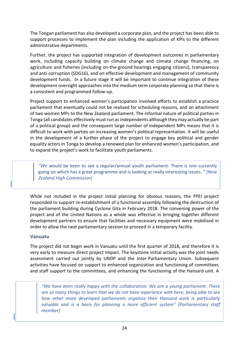The Tongan parliament has also developed a corporate plan, and the project has been able to support processes to implement the plan including the application of KPIs to the different administrative departments.

Further, the project has supported integration of development outcomes in parliamentary work, including capacity building on climate change and climate change financing, on agriculture and fisheries (including on-the-ground hearings engaging citizens), transparency and anti-corruption (SDG16), and on effective development and management of community development funds. In a future stage it will be important to continue integration of these development oversight approaches into the medium term corporate planning so that there is a consistent and programmed follow-up.

Project support to enhanced women's participation involved efforts to establish a practice parliament that eventually could not be realised for scheduling reasons, and an attachment of two women MPs to the New Zealand parliament. The informal nature of political parties in Tonga (all candidates effectively must run as independents although they may actually be part of a political group) and the consequent large number of independent MPs means that it is difficult to work with parties on increasing women's political representation. It will be useful in the development of a further phase of the project to engage key political and gender equality actors in Tonga to develop a renewed plan for enhanced women's participation, and to expand the project's work to facilitate youth parliaments.

*"We* would be keen to see a regular/annual youth parliament. There is one currently going on which has a great programme and is looking at really interesting issues. *" [New Zealand High Commission]*

While not included in the project initial planning for obvious reasons, the PPEI project responded to support re-establishment of a functional assembly following the destruction of the parliament building during Cyclone Gita in February 2018. The convening power of the project and of the United Nations as a whole was effective in bringing together different development partners to ensure that facilities and necessary equipment were mobilised in order to allow the next parliamentary session to proceed in a temporary facility.

# <span id="page-25-0"></span>**Vanuatu**

The project did not begin work in Vanuatu until the first quarter of 2018, and therefore it is very early to measure direct project impact. The keystone initial activity was the joint needs assessment carried out jointly by UNDP and the Inter-Parliamentary Union. Subsequent activities have focused on support to enhanced organization and functioning of committees and staff support to the committees, and enhancing the functioning of the Hansard unit. A

*"We have been really happy with the collaboration. We are a young parliament. There are so many things to learn that we do not have experience with here; being able to see how other more developed parliaments organize their Hansard work is particularly valuable and is a basis for planning a more efficient system" [Parliamentary staff member]*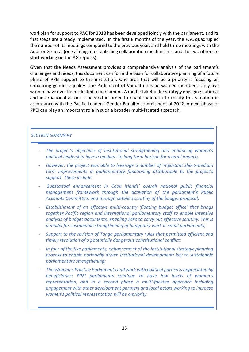workplan for support to PAC for 2018 has been developed jointly with the parliament, and its first steps are already implemented. In the first 8 months of the year, the PAC quadrupled the number of its meetings compared to the previous year, and held three meetings with the Auditor General (one aiming at establishing collaboration mechanisms, and the two others to start working on the AG reports).

Given that the Needs Assessment provides a comprehensive analysis of the parliament's challenges and needs, this document can form the basis for collaborative planning of a future phase of PPEI support to the institution. One area that will be a priority is focusing on enhancing gender equality. The Parliament of Vanuatu has no women members. Only five women have ever been elected to parliament. A multi-stakeholder strategy engaging national and international actors is needed in order to enable Vanuatu to rectify this situation in accordance with the Pacific Leaders' Gender Equality commitment of 2012. A next phase of PPEI can play an important role in such a broader multi-faceted approach.

#### *SECTION SUMMARY*

- *The project's objectives of institutional strengthening and enhancing women's political leadership have a medium-to long term horizon for overall impact;*
- *However, the project was able to leverage a number of important short-medium term improvements in parliamentary functioning attributable to the project's support. These include:*
- *Substantial enhancement in Cook islands' overall national public financial management framework through the activation of the parliament's Public Accounts Committee, and through detailed scrutiny of the budget proposal;*
- *Establishment of an effective multi-country 'floating budget office' that brings together Pacific region and international parliamentary staff to enable intensive analysis of budget documents, enabling MPs to carry out effective scrutiny. This is a model for sustainable strengthening of budgetary work in small parliaments;*
- *Support to the revision of Tonga parliamentary rules that permitted efficient and timely resolution of a potentially dangerous constitutional conflict;*
- *In four of the five parliaments, enhancement of the institutional strategic planning process to enable nationally driven institutional development; key to sustainable parliamentary strengthening;*
- *The Women's Practice Parliaments and work with political parties is appreciated by beneficiaries; PPEI parliaments continue to have low levels of women's representation, and in a second phase a multi-faceted approach including engagement with other development partners and local actors working to increase women's political representation will be a priority.*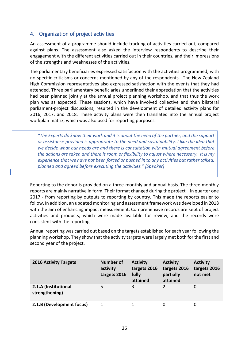# <span id="page-27-0"></span>4. Organization of project activities

An assessment of a programme should include tracking of activities carried out, compared against plans. The assessment also asked the interview respondents to describe their engagement with the different activities carried out in their countries, and their impressions of the strengths and weaknesses of the activities.

The parliamentary beneficiaries expressed satisfaction with the activities programmed, with no specific criticisms or concerns mentioned by any of the respondents. The New Zealand High Commission representatives also expressed satisfaction with the events that they had attended. Three parliamentary beneficiaries underlined their appreciation that the activities had been planned jointly at the annual project planning workshop, and that thus the work plan was as expected. These sessions, which have involved collective and then bilateral parliament-project discussions, resulted in the development of detailed activity plans for 2016, 2017, and 2018. These activity plans were then translated into the annual project workplan matrix, which was also used for reporting purposes.

*"The Experts do know their work and it is about the need of the partner, and the support or assistance provided is appropriate to the need and sustainability. I like the idea that we decide what our needs are and there is consultation with mutual agreement before the actions are taken and there is room or flexibility to adjust where necessary. It is my experience that we have not been forced or pushed in to any activities but rather talked, planned and agreed before executing the activities." [Speaker]*

Reporting to the donor is provided on a three-monthly and annual basis. The three-monthly reports are mainly narrative in form. Their format changed during the project – in quarter one 2017 - from reporting by outputs to reporting by country. This made the reports easier to follow. In addition, an updated monitoring and assessment framework was developed in 2018 with the aim of enhancing impact measurement. Comprehensive records are kept of project activities and products, which were made available for review, and the records were consistent with the reporting.

Annual reporting was carried out based on the targets established for each year following the planning workshop. They show that the activity targets were largely met both for the first and second year of the project.

| <b>2016 Activity Targets</b>           | <b>Number of</b><br>activity<br>targets 2016 | <b>Activity</b><br>targets 2016<br>fully<br>attained | <b>Activity</b><br>targets 2016<br>partially<br>attained | <b>Activity</b><br>targets 2016<br>not met |
|----------------------------------------|----------------------------------------------|------------------------------------------------------|----------------------------------------------------------|--------------------------------------------|
| 2.1.A (Institutional<br>strengthening) | 5                                            | 3                                                    |                                                          | 0                                          |
| 2.1.B (Development focus)              |                                              |                                                      | 0                                                        | 0                                          |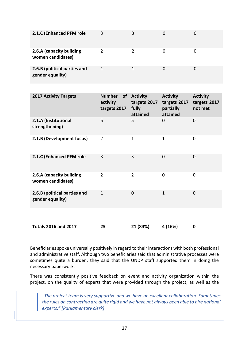| 2.1.C (Enhanced PFM role                         | 3 | 3             |  |
|--------------------------------------------------|---|---------------|--|
| 2.6.A (capacity building<br>women candidates)    | 2 | $\mathcal{P}$ |  |
| 2.6.B (political parties and<br>gender equality) |   |               |  |

| <b>2017 Activity Targets</b>                     | <b>Number</b><br><b>of</b><br>activity<br>targets 2017 | <b>Activity</b><br>targets 2017<br>fully<br>attained | <b>Activity</b><br>targets 2017<br>partially<br>attained | <b>Activity</b><br>targets 2017<br>not met |
|--------------------------------------------------|--------------------------------------------------------|------------------------------------------------------|----------------------------------------------------------|--------------------------------------------|
| 2.1.A (Institutional<br>strengthening)           | 5                                                      | 5                                                    | 0                                                        | $\mathbf 0$                                |
| 2.1.B (Development focus)                        | $\overline{2}$                                         | 1                                                    | 1                                                        | 0                                          |
| 2.1.C (Enhanced PFM role                         | 3                                                      | 3                                                    | 0                                                        | 0                                          |
| 2.6.A (capacity building<br>women candidates)    | $\overline{2}$                                         | $\overline{2}$                                       | $\Omega$                                                 | 0                                          |
| 2.6.B (political parties and<br>gender equality) | $\mathbf{1}$                                           | $\overline{0}$                                       | $\mathbf{1}$                                             | $\overline{0}$                             |
| <b>Totals 2016 and 2017</b>                      | 25                                                     | 21 (84%)                                             | 4 (16%)                                                  | 0                                          |

Beneficiaries spoke universally positively in regard to their interactions with both professional and administrative staff. Although two beneficiaries said that administrative processes were sometimes quite a burden, they said that the UNDP staff supported them in doing the necessary paperwork.

There was consistently positive feedback on event and activity organization within the project, on the quality of experts that were provided through the project, as well as the

*"The project team is very supportive and we have an excellent collaboration. Sometimes the rules on contracting are quite rigid and we have not always been able to hire national experts." [Parliamentary clerk]*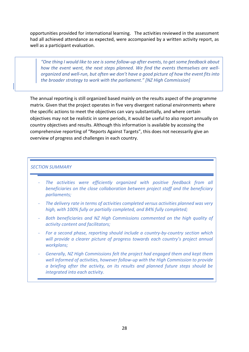opportunities provided for international learning. The activities reviewed in the assessment had all achieved attendance as expected, were accompanied by a written activity report, as well as a participant evaluation.

*"One thing I would like to see is some follow-up after events, to get some feedback about how the event went, the next steps planned. We find the events themselves are wellorganized and well-run, but often we don't have a good picture of how the event fits into the broader strategy to work with the parliament." [NZ High Commission]*

The annual reporting is still organized based mainly on the results aspect of the programme matrix. Given that the project operates in five very divergent national environments where the specific actions to meet the objectives can vary substantially, and where certain objectives may not be realistic in some periods, it would be useful to also report annually on country objectives and results. Although this information is available by accessing the comprehensive reporting of "Reports Against Targets", this does not necessarily give an overview of progress and challenges in each country.

#### *SECTION SUMMARY*

- The activities were efficiently organized with positive feedback from all *beneficiaries on the close collaboration between project staff and the beneficiary parliaments;*
- *The delivery rate in terms of activities completed versus activities planned was very high, with 100% fully or partially completed, and 84% fully completed;*
- *Both beneficiaries and NZ High Commissions commented on the high quality of activity content and facilitators;*
- *For a second phase, reporting should include a country-by-country section which will provide a clearer picture of progress towards each country's project annual workplans;*
- *Generally, NZ High Commissions felt the project had engaged them and kept them well informed of activities, however follow-up with the High Commission to provide a briefing after the activity, on its results and planned future steps should be integrated into each activity.*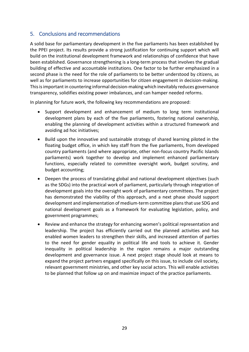# <span id="page-30-0"></span>5. Conclusions and recommendations

A solid base for parliamentary development in the five parliaments has been established by the PPEI project. Its results provide a strong justification for continuing support which will build on the institutional development framework and relationships of confidence that have been established. Governance strengthening is a long-term process that involves the gradual building of effective and accountable institutions. One factor to be further emphasized in a second phase is the need for the role of parliaments to be better understood by citizens, as well as for parliaments to increase opportunities for citizen engagement in decision-making. This is important in countering informal decision-making which inevitably reduces governance transparency, solidifies existing power imbalances, and can hamper needed reforms.

In planning for future work, the following key recommendations are proposed:

- Support development and enhancement of medium to long term institutional development plans by each of the five parliaments, fostering national ownership, enabling the planning of development activities within a structured framework and avoiding ad hoc initiatives;
- Build upon the innovative and sustainable strategy of shared learning piloted in the floating budget office, in which key staff from the five parliaments, from developed country parliaments (and where appropriate, other non-focus country Pacific Islands parliaments) work together to develop and implement enhanced parliamentary functions, especially related to committee oversight work, budget scrutiny, and budget accounting;
- Deepen the process of translating global and national development objectives (such as the SDGs) into the practical work of parliament, particularly through integration of development goals into the oversight work of parliamentary committees. The project has demonstrated the viability of this approach, and a next phase should support development and implementation of medium-term committee plans that use SDG and national development goals as a framework for evaluating legislation, policy, and government programmes;
- Review and enhance the strategy for enhancing women's political representation and leadership. The project has efficiently carried out the planned activities and has enabled women leaders to strengthen their skills, and increased attention of parties to the need for gender equality in political life and tools to achieve it. Gender inequality in political leadership in the region remains a major outstanding development and governance issue. A next project stage should look at means to expand the project partners engaged specifically on this issue, to include civil society, relevant government ministries, and other key social actors. This will enable activities to be planned that follow up on and maximize impact of the practice parliaments.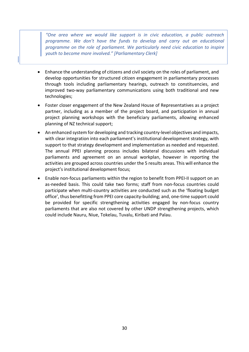*"One area where we would like support is in civic education, a public outreach programme. We don't have the funds to develop and carry out an educational programme on the role of parliament. We particularly need civic education to inspire youth to become more involved." [Parliamentary Clerk]*

- Enhance the understanding of citizens and civil society on the roles of parliament, and develop opportunities for structured citizen engagement in parliamentary processes through tools including parliamentary hearings, outreach to constituencies, and improved two-way parliamentary communications using both traditional and new technologies;
- Foster closer engagement of the New Zealand House of Representatives as a project partner, including as a member of the project board, and participation in annual project planning workshops with the beneficiary parliaments, allowing enhanced planning of NZ technical support;
- An enhanced system for developing and tracking country-level objectives and impacts, with clear integration into each parliament's institutional development strategy, with support to that strategy development and implementation as needed and requested. The annual PPEI planning process includes bilateral discussions with individual parliaments and agreement on an annual workplan, however in reporting the activities are grouped across countries under the 5 results areas. This will enhance the project's institutional development focus;
- Enable non-focus parliaments within the region to benefit from PPEI-II support on an as-needed basis. This could take two forms; staff from non-focus countries could participate when multi-country activities are conducted such as the 'floating budget office', thus benefitting from PPEI core capacity-building; and, one-time support could be provided for specific strengthening activities engaged by non-focus country parliaments that are also not covered by other UNDP strengthening projects, which could include Nauru, Niue, Tokelau, Tuvalu, Kiribati and Palau.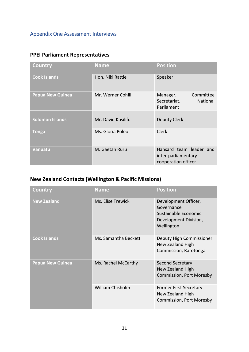# <span id="page-32-0"></span>Appendix One Assessment Interviews

# **PPEI Parliament Representatives**

| <b>Country</b>          | <b>Name</b>        | Position                                                              |
|-------------------------|--------------------|-----------------------------------------------------------------------|
| <b>Cook Islands</b>     | Hon. Niki Rattle   | Speaker                                                               |
| <b>Papua New Guinea</b> | Mr. Werner Cohill  | Committee<br>Manager,<br>Secretariat,<br>National<br>Parliament       |
| <b>Solomon Islands</b>  | Mr. David Kusilifu | Deputy Clerk                                                          |
| <b>Tonga</b>            | Ms. Gloria Poleo   | <b>Clerk</b>                                                          |
| <b>Vanuatu</b>          | M. Gaetan Ruru     | Hansard team leader and<br>inter-parliamentary<br>cooperation officer |

# **New Zealand Contacts (Wellington & Pacific Missions)**

| Country                 | <b>Name</b>             | Position                                                                                          |
|-------------------------|-------------------------|---------------------------------------------------------------------------------------------------|
| <b>New Zealand</b>      | Ms. Elise Trewick       | Development Officer,<br>Governance<br>Sustainable Economic<br>Development Division,<br>Wellington |
| <b>Cook Islands</b>     | Ms. Samantha Beckett    | Deputy High Commissioner<br>New Zealand High<br>Commission, Rarotonga                             |
| <b>Papua New Guinea</b> | Ms. Rachel McCarthy     | Second Secretary<br>New Zealand High<br><b>Commission, Port Moresby</b>                           |
|                         | <b>William Chisholm</b> | <b>Former First Secretary</b><br>New Zealand High<br>Commission, Port Moresby                     |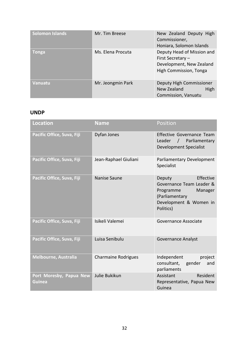| <b>Solomon Islands</b> | Mr. Tim Breese    | New Zealand Deputy High<br>Commissioner,<br>Honiara, Solomon Islands                                  |
|------------------------|-------------------|-------------------------------------------------------------------------------------------------------|
| Tonga                  | Ms. Elena Procuta | Deputy Head of Mission and<br>First Secretary -<br>Development, New Zealand<br>High Commission, Tonga |
| <b>Vanuatu</b>         | Mr. Jeongmin Park | Deputy High Commissioner<br>High<br>New Zealand<br>Commission, Vanuatu                                |

# **UNDP**

| <b>Location</b>                   | <b>Name</b>                | Position                                                                                                                         |
|-----------------------------------|----------------------------|----------------------------------------------------------------------------------------------------------------------------------|
| Pacific Office, Suva, Fiji        | Dyfan Jones                | Effective Governance Team<br>Leader<br>Parliamentary<br>$\sqrt{2}$<br><b>Development Specialist</b>                              |
| Pacific Office, Suva, Fiji        | Jean-Raphael Giuliani      | Parliamentary Development<br>Specialist                                                                                          |
| Pacific Office, Suva, Fiji        | Nanise Saune               | Effective<br>Deputy<br>Governance Team Leader &<br>Programme<br>Manager<br>(Parliamentary<br>Development & Women in<br>Politics) |
| Pacific Office, Suva, Fiji        | Isikeli Valemei            | Governance Associate                                                                                                             |
| Pacific Office, Suva, Fiji        | Luisa Senibulu             | <b>Governance Analyst</b>                                                                                                        |
| <b>Melbourne, Australia</b>       | <b>Charmaine Rodrigues</b> | Independent<br>project<br>consultant, gender<br>and<br>parliaments                                                               |
| Port Moresby, Papua New<br>Guinea | Julie Bukikun              | Assistant<br>Resident<br>Representative, Papua New<br>Guinea                                                                     |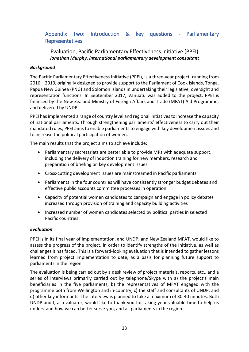# <span id="page-34-0"></span>Appendix Two: Introduction & key questions - Parliamentary Representatives

# Evaluation, Pacific Parliamentary Effectiveness Initiative (PPEI) *Jonathan Murphy, international parliamentary development consultant*

# *Background*

The Pacific Parliamentary Effectiveness Initiative (PPEI), is a three-year project, running from 2016 – 2019, originally designed to provide support to the Parliament of Cook Islands, Tonga, Papua New Guinea (PNG) and Solomon Islands in undertaking their legislative, oversight and representation functions. In September 2017, Vanuatu was added to the project. PPEI is financed by the New Zealand Ministry of Foreign Affairs and Trade (MFAT) Aid Programme, and delivered by UNDP.

PPEI has implemented a range of country level and regional initiatives to increase the capacity of national parliaments. Through strengthening parliaments' effectiveness to carry out their mandated rules, PPEI aims to enable parliaments to engage with key development issues and to increase the political participation of women.

The main results that the project aims to achieve include:

- Parliamentary secretariats are better able to provide MPs with adequate support, including the delivery of induction training for new members, research and preparation of briefing on key development issues
- Cross-cutting development issues are mainstreamed in Pacific parliaments
- Parliaments in the four countries will have consistently stronger budget debates and effective public accounts committee processes in operation
- Capacity of potential women candidates to campaign and engage in policy debates increased through provision of training and capacity building activities
- Increased number of women candidates selected by political parties in selected Pacific countries

# *Evaluation*

PPEI is in its final year of implementation, and UNDP, and New Zealand MFAT, would like to assess the progress of the project, in order to identify strengths of the Initiative, as well as challenges it has faced. This is a forward-looking evaluation that is intended to gather lessons learned from project implementation to date, as a basis for planning future support to parliaments in the region.

The evaluation is being carried out by a desk review of project materials, reports, etc., and a series of interviews primarily carried out by telephone/Skype with a) the project's main beneficiaries in the five parliaments, b) the representatives of MFAT engaged with the programme both from Wellington and in-country, c) the staff and consultants of UNDP, and d) other key informants. The interview is planned to take a maximum of 30-40 minutes. Both UNDP and I, as evaluator, would like to thank you for taking your valuable time to help us understand how we can better serve you, and all parliaments in the region.